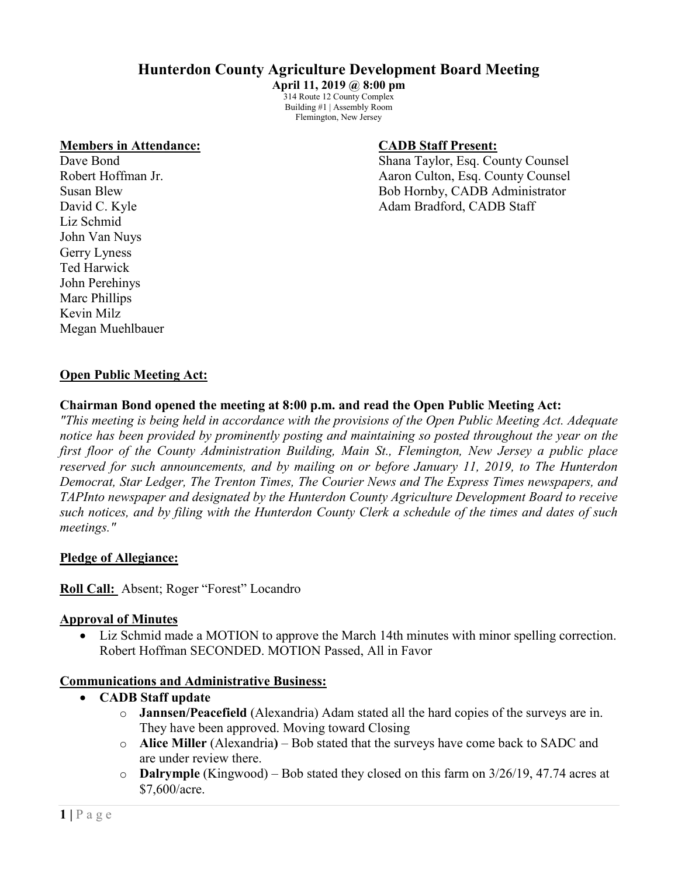# **Hunterdon County Agriculture Development Board Meeting**

**April 11, 2019 @ 8:00 pm** 314 Route 12 County Complex Building #1 | Assembly Room Flemington, New Jersey

#### **Members in Attendance: CADB Staff Present:**

Liz Schmid John Van Nuys Gerry Lyness Ted Harwick John Perehinys Marc Phillips Kevin Milz Megan Muehlbauer

Dave Bond Shana Taylor, Esq. County Counsel Robert Hoffman Jr. **All Accord Accord Accord Accord Accord Accord Accord Accord Accord Accord Accord Accord Accord Accord Accord Accord Accord Accord Accord Accord Accord Accord Accord Accord Accord Accord Accord Accord Ac** Susan Blew Bob Hornby, CADB Administrator David C. Kyle Adam Bradford, CADB Staff

#### **Open Public Meeting Act:**

#### **Chairman Bond opened the meeting at 8:00 p.m. and read the Open Public Meeting Act:**

*"This meeting is being held in accordance with the provisions of the Open Public Meeting Act. Adequate notice has been provided by prominently posting and maintaining so posted throughout the year on the first floor of the County Administration Building, Main St., Flemington, New Jersey a public place reserved for such announcements, and by mailing on or before January 11, 2019, to The Hunterdon Democrat, Star Ledger, The Trenton Times, The Courier News and The Express Times newspapers, and TAPInto newspaper and designated by the Hunterdon County Agriculture Development Board to receive such notices, and by filing with the Hunterdon County Clerk a schedule of the times and dates of such meetings."*

#### **Pledge of Allegiance:**

**Roll Call:** Absent; Roger "Forest" Locandro

#### **Approval of Minutes**

• Liz Schmid made a MOTION to approve the March 14th minutes with minor spelling correction. Robert Hoffman SECONDED. MOTION Passed, All in Favor

#### **Communications and Administrative Business:**

- **CADB Staff update**
	- o **Jannsen/Peacefield** (Alexandria) Adam stated all the hard copies of the surveys are in. They have been approved. Moving toward Closing
	- o **Alice Miller** (Alexandria**)** Bob stated that the surveys have come back to SADC and are under review there.
	- o **Dalrymple** (Kingwood) Bob stated they closed on this farm on 3/26/19, 47.74 acres at \$7,600/acre.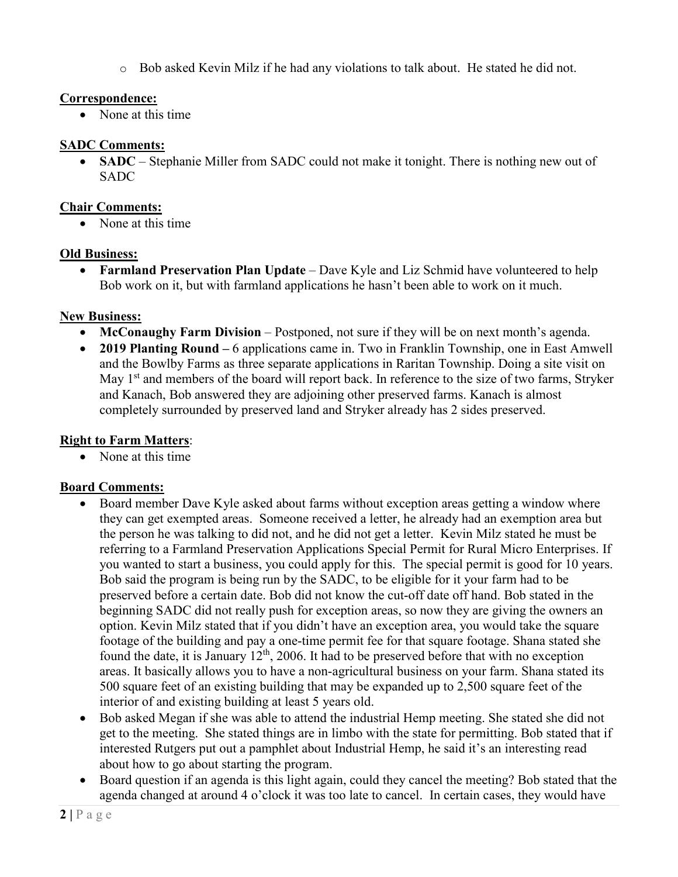$\circ$  Bob asked Kevin Milz if he had any violations to talk about. He stated he did not.

#### **Correspondence:**

• None at this time

## **SADC Comments:**

• **SADC** – Stephanie Miller from SADC could not make it tonight. There is nothing new out of SADC

## **Chair Comments:**

• None at this time

#### **Old Business:**

• **Farmland Preservation Plan Update** – Dave Kyle and Liz Schmid have volunteered to help Bob work on it, but with farmland applications he hasn't been able to work on it much.

## **New Business:**

- **McConaughy Farm Division** Postponed, not sure if they will be on next month's agenda.
- **2019 Planting Round –** 6 applications came in. Two in Franklin Township, one in East Amwell and the Bowlby Farms as three separate applications in Raritan Township. Doing a site visit on May  $1<sup>st</sup>$  and members of the board will report back. In reference to the size of two farms, Stryker and Kanach, Bob answered they are adjoining other preserved farms. Kanach is almost completely surrounded by preserved land and Stryker already has 2 sides preserved.

## **Right to Farm Matters**:

• None at this time

## **Board Comments:**

- Board member Dave Kyle asked about farms without exception areas getting a window where they can get exempted areas. Someone received a letter, he already had an exemption area but the person he was talking to did not, and he did not get a letter. Kevin Milz stated he must be referring to a Farmland Preservation Applications Special Permit for Rural Micro Enterprises. If you wanted to start a business, you could apply for this. The special permit is good for 10 years. Bob said the program is being run by the SADC, to be eligible for it your farm had to be preserved before a certain date. Bob did not know the cut-off date off hand. Bob stated in the beginning SADC did not really push for exception areas, so now they are giving the owners an option. Kevin Milz stated that if you didn't have an exception area, you would take the square footage of the building and pay a one-time permit fee for that square footage. Shana stated she found the date, it is January  $12<sup>th</sup>$ , 2006. It had to be preserved before that with no exception areas. It basically allows you to have a non-agricultural business on your farm. Shana stated its 500 square feet of an existing building that may be expanded up to 2,500 square feet of the interior of and existing building at least 5 years old.
- Bob asked Megan if she was able to attend the industrial Hemp meeting. She stated she did not get to the meeting. She stated things are in limbo with the state for permitting. Bob stated that if interested Rutgers put out a pamphlet about Industrial Hemp, he said it's an interesting read about how to go about starting the program.
- Board question if an agenda is this light again, could they cancel the meeting? Bob stated that the agenda changed at around 4 o'clock it was too late to cancel. In certain cases, they would have